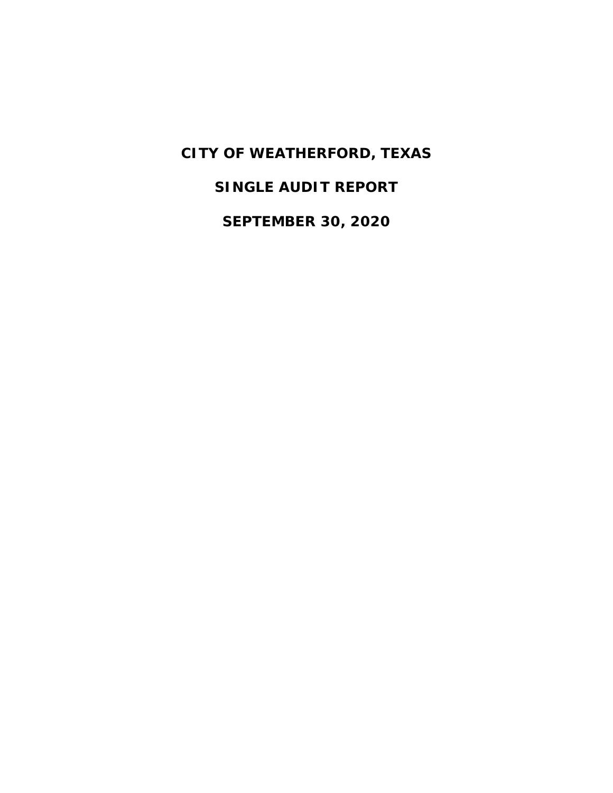**SINGLE AUDIT REPORT**

**SEPTEMBER 30, 2020**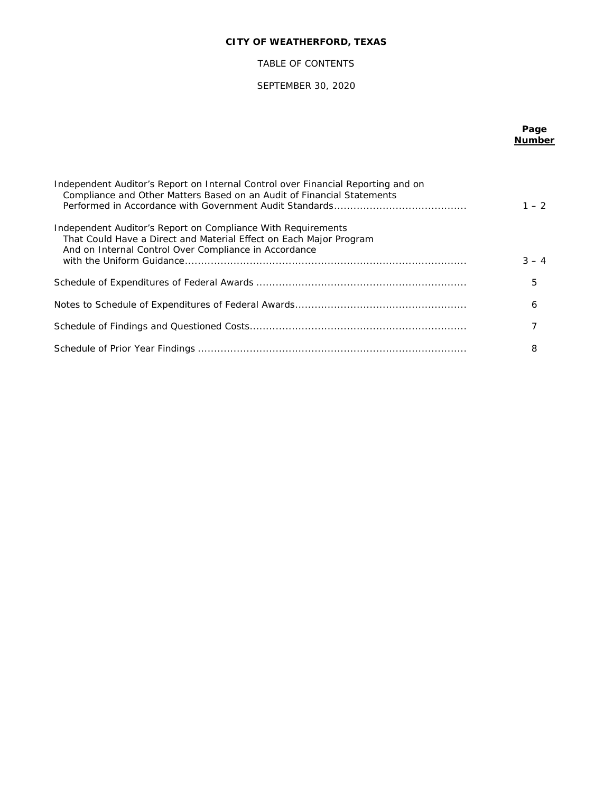## TABLE OF CONTENTS

## SEPTEMBER 30, 2020

## **Page Number**

| Independent Auditor's Report on Internal Control over Financial Reporting and on<br>Compliance and Other Matters Based on an Audit of Financial Statements                                  | $1 - 2$ |
|---------------------------------------------------------------------------------------------------------------------------------------------------------------------------------------------|---------|
| Independent Auditor's Report on Compliance With Requirements<br>That Could Have a Direct and Material Effect on Each Major Program<br>And on Internal Control Over Compliance in Accordance | $3 - 4$ |
|                                                                                                                                                                                             | 5       |
|                                                                                                                                                                                             | 6       |
|                                                                                                                                                                                             |         |
|                                                                                                                                                                                             | 8       |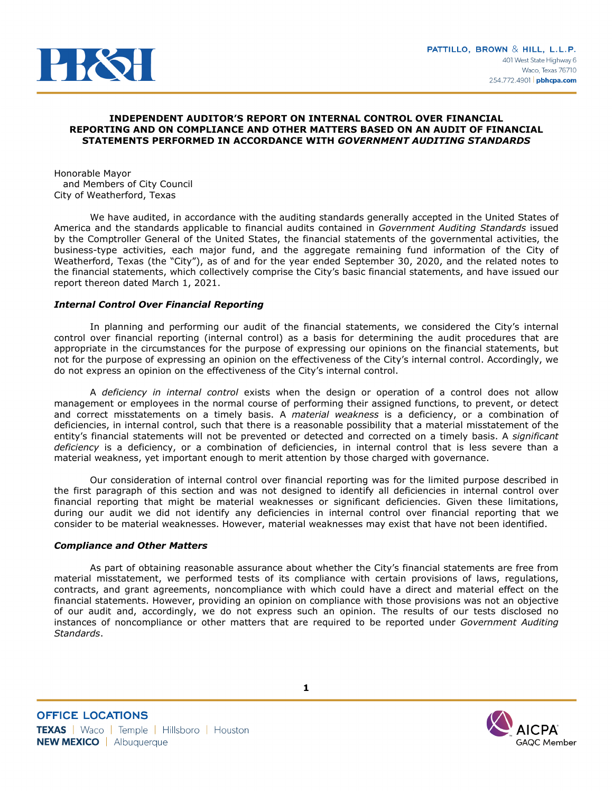

### **INDEPENDENT AUDITOR'S REPORT ON INTERNAL CONTROL OVER FINANCIAL REPORTING AND ON COMPLIANCE AND OTHER MATTERS BASED ON AN AUDIT OF FINANCIAL STATEMENTS PERFORMED IN ACCORDANCE WITH** *GOVERNMENT AUDITING STANDARDS*

Honorable Mayor and Members of City Council City of Weatherford, Texas

We have audited, in accordance with the auditing standards generally accepted in the United States of America and the standards applicable to financial audits contained in *Government Auditing Standards* issued by the Comptroller General of the United States, the financial statements of the governmental activities, the business-type activities, each major fund, and the aggregate remaining fund information of the City of Weatherford, Texas (the "City"), as of and for the year ended September 30, 2020, and the related notes to the financial statements, which collectively comprise the City's basic financial statements, and have issued our report thereon dated March 1, 2021.

## *Internal Control Over Financial Reporting*

In planning and performing our audit of the financial statements, we considered the City's internal control over financial reporting (internal control) as a basis for determining the audit procedures that are appropriate in the circumstances for the purpose of expressing our opinions on the financial statements, but not for the purpose of expressing an opinion on the effectiveness of the City's internal control. Accordingly, we do not express an opinion on the effectiveness of the City's internal control.

A *deficiency in internal control* exists when the design or operation of a control does not allow management or employees in the normal course of performing their assigned functions, to prevent, or detect and correct misstatements on a timely basis. A *material weakness* is a deficiency, or a combination of deficiencies, in internal control, such that there is a reasonable possibility that a material misstatement of the entity's financial statements will not be prevented or detected and corrected on a timely basis. A *significant deficiency* is a deficiency, or a combination of deficiencies, in internal control that is less severe than a material weakness, yet important enough to merit attention by those charged with governance.

Our consideration of internal control over financial reporting was for the limited purpose described in the first paragraph of this section and was not designed to identify all deficiencies in internal control over financial reporting that might be material weaknesses or significant deficiencies. Given these limitations, during our audit we did not identify any deficiencies in internal control over financial reporting that we consider to be material weaknesses. However, material weaknesses may exist that have not been identified.

### *Compliance and Other Matters*

As part of obtaining reasonable assurance about whether the City's financial statements are free from material misstatement, we performed tests of its compliance with certain provisions of laws, regulations, contracts, and grant agreements, noncompliance with which could have a direct and material effect on the financial statements. However, providing an opinion on compliance with those provisions was not an objective of our audit and, accordingly, we do not express such an opinion. The results of our tests disclosed no instances of noncompliance or other matters that are required to be reported under *Government Auditing Standards*.

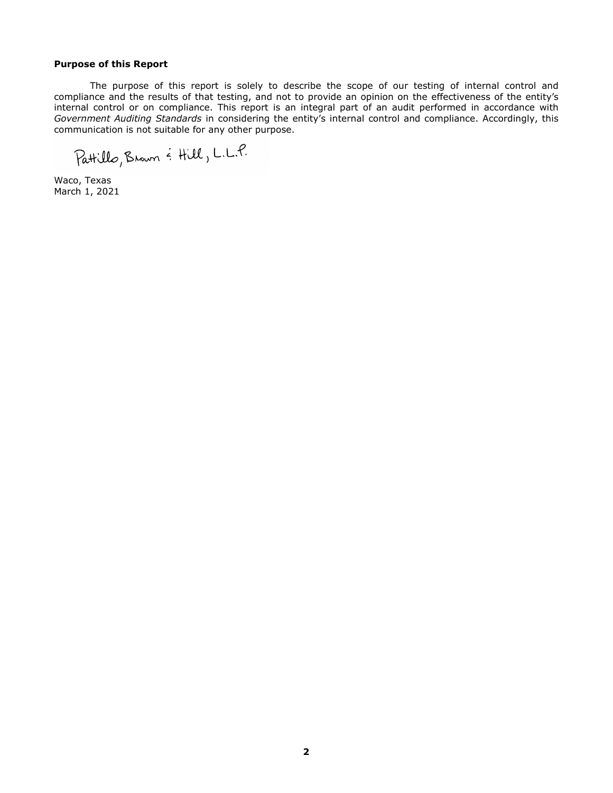### **Purpose of this Report**

The purpose of this report is solely to describe the scope of our testing of internal control and compliance and the results of that testing, and not to provide an opinion on the effectiveness of the entity's internal control or on compliance. This report is an integral part of an audit performed in accordance with *Government Auditing Standards* in considering the entity's internal control and compliance. Accordingly, this communication is not suitable for any other purpose.

Pattillo, Brown & Hill, L.L.P.

Waco, Texas March 1, 2021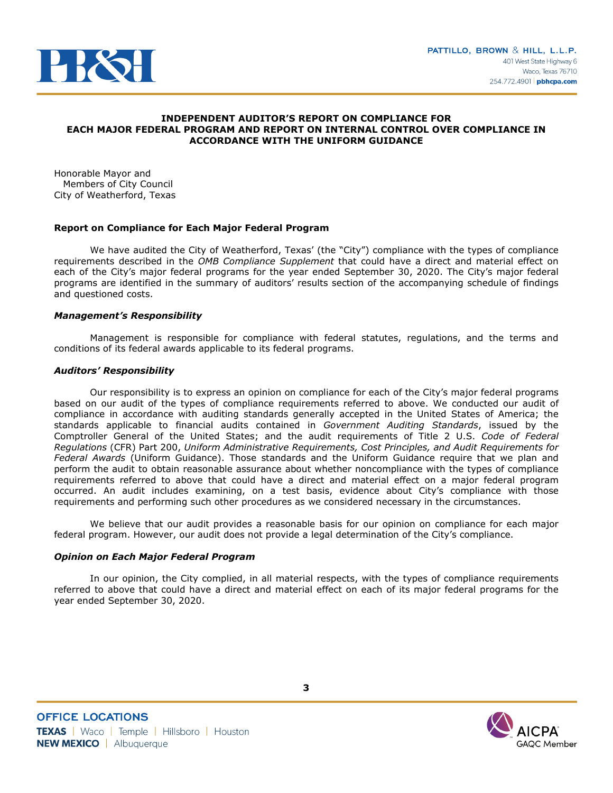

### **INDEPENDENT AUDITOR'S REPORT ON COMPLIANCE FOR EACH MAJOR FEDERAL PROGRAM AND REPORT ON INTERNAL CONTROL OVER COMPLIANCE IN ACCORDANCE WITH THE UNIFORM GUIDANCE**

Honorable Mayor and Members of City Council City of Weatherford, Texas

## **Report on Compliance for Each Major Federal Program**

We have audited the City of Weatherford, Texas' (the "City") compliance with the types of compliance requirements described in the *OMB Compliance Supplement* that could have a direct and material effect on each of the City's major federal programs for the year ended September 30, 2020. The City's major federal programs are identified in the summary of auditors' results section of the accompanying schedule of findings and questioned costs.

### *Management's Responsibility*

Management is responsible for compliance with federal statutes, regulations, and the terms and conditions of its federal awards applicable to its federal programs.

## *Auditors' Responsibility*

Our responsibility is to express an opinion on compliance for each of the City's major federal programs based on our audit of the types of compliance requirements referred to above. We conducted our audit of compliance in accordance with auditing standards generally accepted in the United States of America; the standards applicable to financial audits contained in *Government Auditing Standards*, issued by the Comptroller General of the United States; and the audit requirements of Title 2 U.S. *Code of Federal Regulations* (CFR) Part 200, *Uniform Administrative Requirements, Cost Principles, and Audit Requirements for Federal Awards* (Uniform Guidance). Those standards and the Uniform Guidance require that we plan and perform the audit to obtain reasonable assurance about whether noncompliance with the types of compliance requirements referred to above that could have a direct and material effect on a major federal program occurred. An audit includes examining, on a test basis, evidence about City's compliance with those requirements and performing such other procedures as we considered necessary in the circumstances.

We believe that our audit provides a reasonable basis for our opinion on compliance for each major federal program. However, our audit does not provide a legal determination of the City's compliance.

### *Opinion on Each Major Federal Program*

In our opinion, the City complied, in all material respects, with the types of compliance requirements referred to above that could have a direct and material effect on each of its major federal programs for the year ended September 30, 2020.

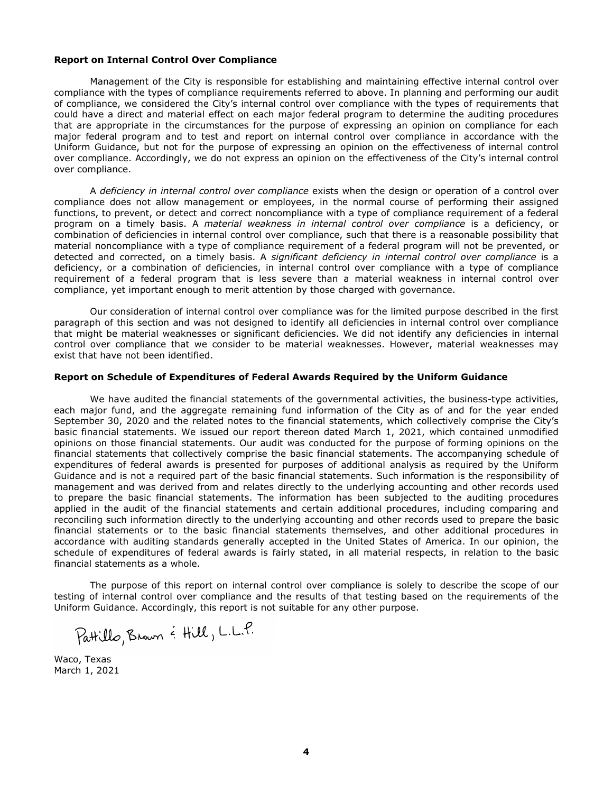### **Report on Internal Control Over Compliance**

Management of the City is responsible for establishing and maintaining effective internal control over compliance with the types of compliance requirements referred to above. In planning and performing our audit of compliance, we considered the City's internal control over compliance with the types of requirements that could have a direct and material effect on each major federal program to determine the auditing procedures that are appropriate in the circumstances for the purpose of expressing an opinion on compliance for each major federal program and to test and report on internal control over compliance in accordance with the Uniform Guidance, but not for the purpose of expressing an opinion on the effectiveness of internal control over compliance. Accordingly, we do not express an opinion on the effectiveness of the City's internal control over compliance.

A *deficiency in internal control over compliance* exists when the design or operation of a control over compliance does not allow management or employees, in the normal course of performing their assigned functions, to prevent, or detect and correct noncompliance with a type of compliance requirement of a federal program on a timely basis. A *material weakness in internal control over compliance* is a deficiency, or combination of deficiencies in internal control over compliance, such that there is a reasonable possibility that material noncompliance with a type of compliance requirement of a federal program will not be prevented, or detected and corrected, on a timely basis. A *significant deficiency in internal control over compliance* is a deficiency, or a combination of deficiencies, in internal control over compliance with a type of compliance requirement of a federal program that is less severe than a material weakness in internal control over compliance, yet important enough to merit attention by those charged with governance.

Our consideration of internal control over compliance was for the limited purpose described in the first paragraph of this section and was not designed to identify all deficiencies in internal control over compliance that might be material weaknesses or significant deficiencies. We did not identify any deficiencies in internal control over compliance that we consider to be material weaknesses. However, material weaknesses may exist that have not been identified.

### **Report on Schedule of Expenditures of Federal Awards Required by the Uniform Guidance**

We have audited the financial statements of the governmental activities, the business-type activities, each major fund, and the aggregate remaining fund information of the City as of and for the year ended September 30, 2020 and the related notes to the financial statements, which collectively comprise the City's basic financial statements. We issued our report thereon dated March 1, 2021, which contained unmodified opinions on those financial statements. Our audit was conducted for the purpose of forming opinions on the financial statements that collectively comprise the basic financial statements. The accompanying schedule of expenditures of federal awards is presented for purposes of additional analysis as required by the Uniform Guidance and is not a required part of the basic financial statements. Such information is the responsibility of management and was derived from and relates directly to the underlying accounting and other records used to prepare the basic financial statements. The information has been subjected to the auditing procedures applied in the audit of the financial statements and certain additional procedures, including comparing and reconciling such information directly to the underlying accounting and other records used to prepare the basic financial statements or to the basic financial statements themselves, and other additional procedures in accordance with auditing standards generally accepted in the United States of America. In our opinion, the schedule of expenditures of federal awards is fairly stated, in all material respects, in relation to the basic financial statements as a whole.

The purpose of this report on internal control over compliance is solely to describe the scope of our testing of internal control over compliance and the results of that testing based on the requirements of the Uniform Guidance. Accordingly, this report is not suitable for any other purpose.

Waco, Texas March 1, 2021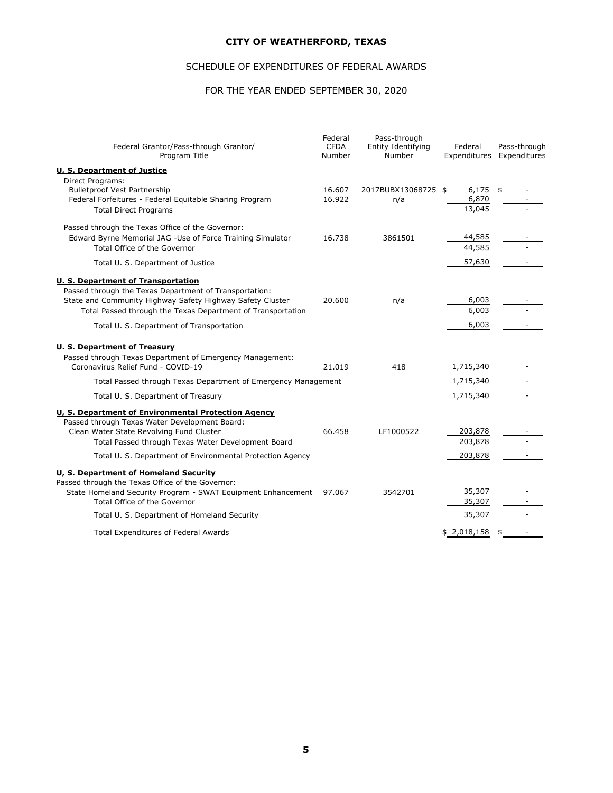## SCHEDULE OF EXPENDITURES OF FEDERAL AWARDS

# FOR THE YEAR ENDED SEPTEMBER 30, 2020

| Federal Grantor/Pass-through Grantor/<br>Program Title                                                           | Federal<br><b>CFDA</b><br>Number | Pass-through<br>Entity Identifying<br>Number | Federal            | Pass-through<br>Expenditures Expenditures |
|------------------------------------------------------------------------------------------------------------------|----------------------------------|----------------------------------------------|--------------------|-------------------------------------------|
| <b>U. S. Department of Justice</b>                                                                               |                                  |                                              |                    |                                           |
| Direct Programs:                                                                                                 |                                  |                                              |                    |                                           |
| <b>Bulletproof Vest Partnership</b>                                                                              | 16.607                           | 2017BUBX13068725 \$                          | $6,175$ \$         |                                           |
| Federal Forfeitures - Federal Equitable Sharing Program                                                          | 16.922                           | n/a                                          | 6,870              |                                           |
| <b>Total Direct Programs</b>                                                                                     |                                  |                                              | 13,045             |                                           |
| Passed through the Texas Office of the Governor:                                                                 |                                  |                                              |                    |                                           |
| Edward Byrne Memorial JAG -Use of Force Training Simulator                                                       | 16.738                           | 3861501                                      | 44,585             |                                           |
| Total Office of the Governor                                                                                     |                                  |                                              | 44,585             |                                           |
| Total U. S. Department of Justice                                                                                |                                  |                                              | 57,630             |                                           |
| <b>U. S. Department of Transportation</b>                                                                        |                                  |                                              |                    |                                           |
| Passed through the Texas Department of Transportation:                                                           |                                  |                                              |                    |                                           |
| State and Community Highway Safety Highway Safety Cluster                                                        | 20,600                           | n/a                                          | 6,003              |                                           |
| Total Passed through the Texas Department of Transportation                                                      |                                  |                                              | 6,003              |                                           |
| Total U. S. Department of Transportation                                                                         |                                  |                                              | 6,003              | $\sim$                                    |
| <b>U. S. Department of Treasury</b>                                                                              |                                  |                                              |                    |                                           |
| Passed through Texas Department of Emergency Management:                                                         |                                  |                                              |                    |                                           |
| Coronavirus Relief Fund - COVID-19                                                                               | 21.019                           | 418                                          | 1,715,340          |                                           |
| Total Passed through Texas Department of Emergency Management                                                    |                                  |                                              | 1,715,340          |                                           |
| Total U. S. Department of Treasury                                                                               |                                  |                                              | 1,715,340          |                                           |
| U, S. Department of Environmental Protection Agency                                                              |                                  |                                              |                    |                                           |
| Passed through Texas Water Development Board:                                                                    |                                  |                                              |                    |                                           |
| Clean Water State Revolving Fund Cluster                                                                         | 66.458                           | LF1000522                                    | 203,878<br>203,878 |                                           |
| Total Passed through Texas Water Development Board                                                               |                                  |                                              |                    |                                           |
| Total U. S. Department of Environmental Protection Agency                                                        |                                  |                                              | 203,878            |                                           |
| <b>U. S. Department of Homeland Security</b>                                                                     |                                  |                                              |                    |                                           |
| Passed through the Texas Office of the Governor:<br>State Homeland Security Program - SWAT Equipment Enhancement | 97.067                           | 3542701                                      | 35,307             |                                           |
| Total Office of the Governor                                                                                     |                                  |                                              | 35,307             | $\sim$                                    |
| Total U. S. Department of Homeland Security                                                                      |                                  |                                              | 35,307             | $\blacksquare$                            |
|                                                                                                                  |                                  |                                              |                    |                                           |
| <b>Total Expenditures of Federal Awards</b>                                                                      |                                  |                                              | \$2,018,158        | \$                                        |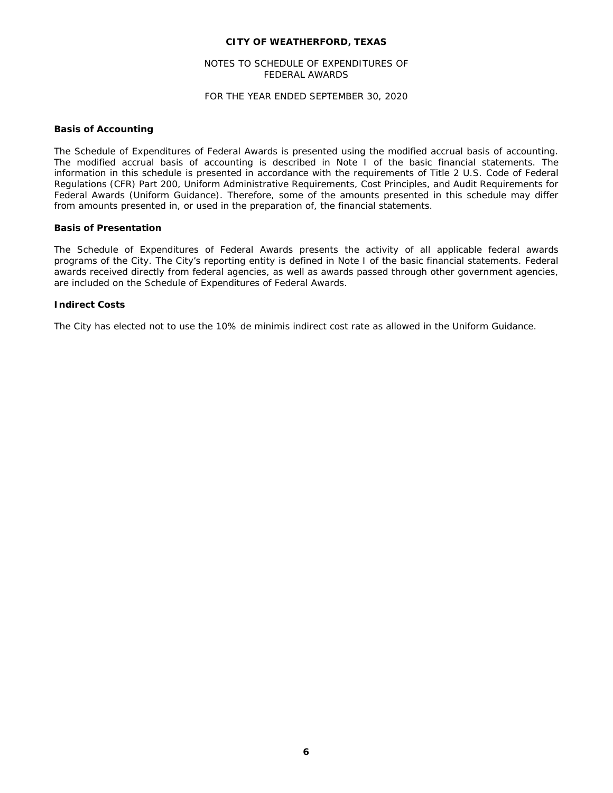## NOTES TO SCHEDULE OF EXPENDITURES OF FEDERAL AWARDS

## FOR THE YEAR ENDED SEPTEMBER 30, 2020

### **Basis of Accounting**

The Schedule of Expenditures of Federal Awards is presented using the modified accrual basis of accounting. The modified accrual basis of accounting is described in Note I of the basic financial statements. The information in this schedule is presented in accordance with the requirements of Title 2 U.S. Code of Federal Regulations (CFR) Part 200, *Uniform Administrative Requirements, Cost Principles, and Audit Requirements for Federal Awards* (Uniform Guidance). Therefore, some of the amounts presented in this schedule may differ from amounts presented in, or used in the preparation of, the financial statements.

#### **Basis of Presentation**

The Schedule of Expenditures of Federal Awards presents the activity of all applicable federal awards programs of the City. The City's reporting entity is defined in Note I of the basic financial statements. Federal awards received directly from federal agencies, as well as awards passed through other government agencies, are included on the Schedule of Expenditures of Federal Awards.

#### **Indirect Costs**

The City has elected not to use the 10% de minimis indirect cost rate as allowed in the Uniform Guidance.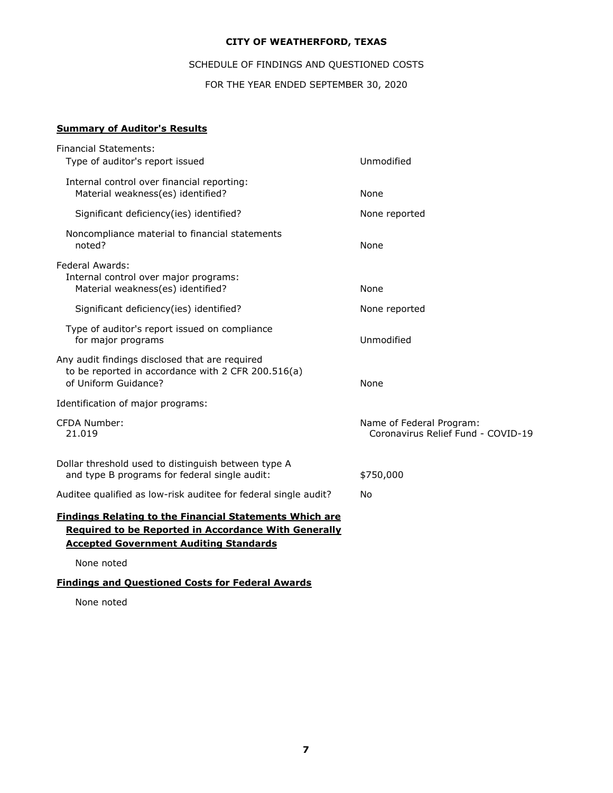## SCHEDULE OF FINDINGS AND QUESTIONED COSTS

FOR THE YEAR ENDED SEPTEMBER 30, 2020

## **Summary of Auditor's Results**

| <b>Financial Statements:</b><br>Type of auditor's report issued                                                              | Unmodified                                                     |
|------------------------------------------------------------------------------------------------------------------------------|----------------------------------------------------------------|
| Internal control over financial reporting:<br>Material weakness(es) identified?                                              | None                                                           |
| Significant deficiency(ies) identified?                                                                                      | None reported                                                  |
| Noncompliance material to financial statements<br>noted?                                                                     | None                                                           |
| Federal Awards:<br>Internal control over major programs:<br>Material weakness(es) identified?                                | None                                                           |
| Significant deficiency(ies) identified?                                                                                      | None reported                                                  |
| Type of auditor's report issued on compliance<br>for major programs                                                          | Unmodified                                                     |
| Any audit findings disclosed that are required<br>to be reported in accordance with 2 CFR 200.516(a)<br>of Uniform Guidance? | None                                                           |
| Identification of major programs:                                                                                            |                                                                |
| <b>CFDA Number:</b><br>21.019                                                                                                | Name of Federal Program:<br>Coronavirus Relief Fund - COVID-19 |
| Dollar threshold used to distinguish between type A<br>and type B programs for federal single audit:                         | \$750,000                                                      |
| Auditee qualified as low-risk auditee for federal single audit?                                                              | No                                                             |
| <b>Findings Relating to the Financial Statements Which are</b>                                                               |                                                                |
| <b>Required to be Reported in Accordance With Generally</b><br><b>Accepted Government Auditing Standards</b>                 |                                                                |
|                                                                                                                              |                                                                |
| None noted                                                                                                                   |                                                                |

**Findings and Questioned Costs for Federal Awards**

None noted